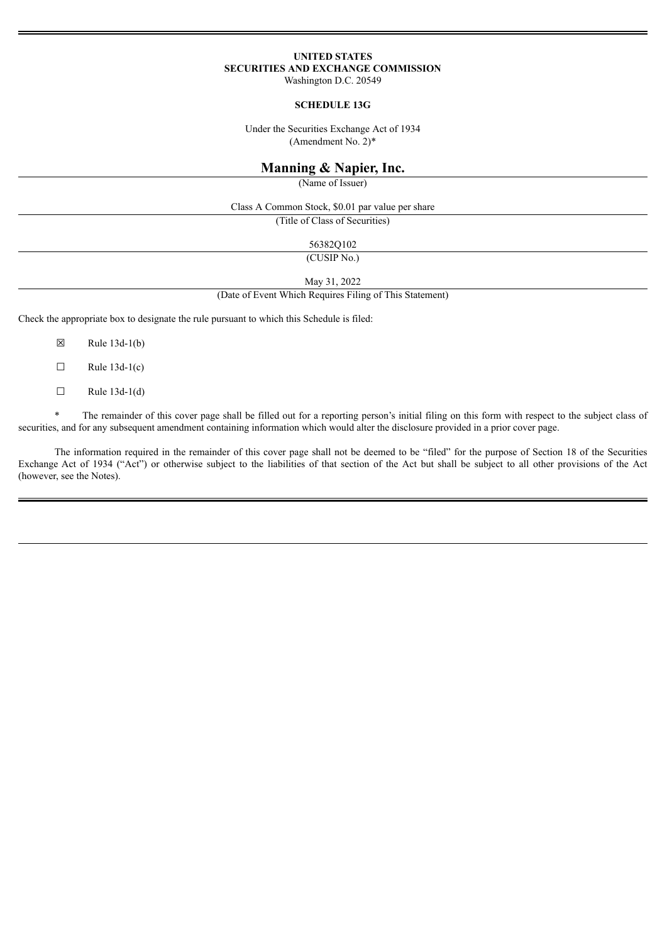# **UNITED STATES SECURITIES AND EXCHANGE COMMISSION**

Washington D.C. 20549

### **SCHEDULE 13G**

Under the Securities Exchange Act of 1934 (Amendment No. 2)\*

## **Manning & Napier, Inc.**

(Name of Issuer)

Class A Common Stock, \$0.01 par value per share

(Title of Class of Securities)

56382Q102

(CUSIP No.)

May 31, 2022

(Date of Event Which Requires Filing of This Statement)

Check the appropriate box to designate the rule pursuant to which this Schedule is filed:

 $\boxtimes$  Rule 13d-1(b)

 $\Box$  Rule 13d-1(c)

 $\Box$  Rule 13d-1(d)

\* The remainder of this cover page shall be filled out for a reporting person's initial filing on this form with respect to the subject class of securities, and for any subsequent amendment containing information which would alter the disclosure provided in a prior cover page.

The information required in the remainder of this cover page shall not be deemed to be "filed" for the purpose of Section 18 of the Securities Exchange Act of 1934 ("Act") or otherwise subject to the liabilities of that section of the Act but shall be subject to all other provisions of the Act (however, see the Notes).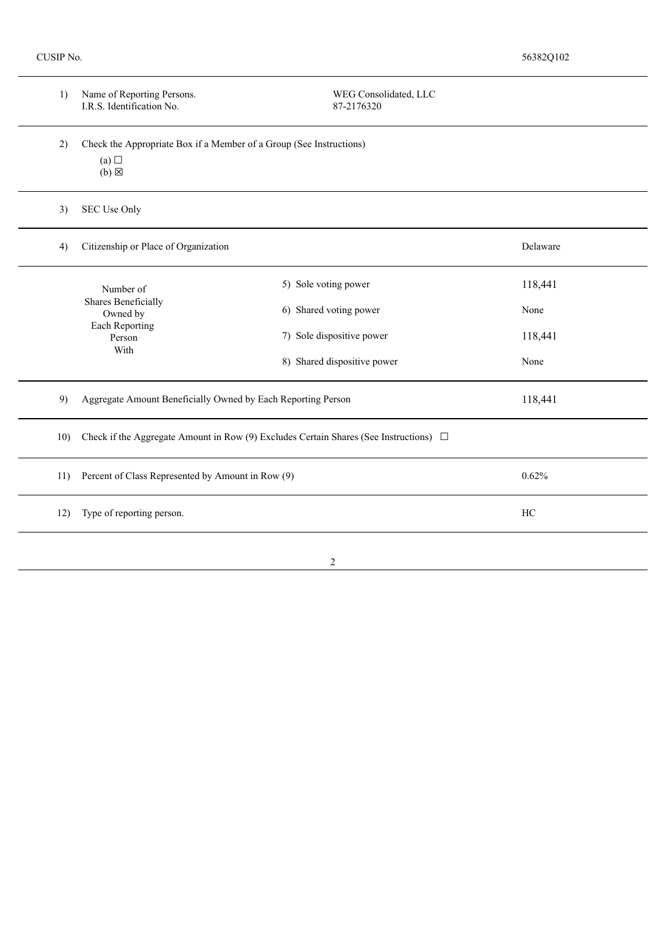| 1)  | Name of Reporting Persons.<br>I.R.S. Identification No.                                         | WEG Consolidated, LLC<br>87-2176320 |         |  |
|-----|-------------------------------------------------------------------------------------------------|-------------------------------------|---------|--|
| 2)  | Check the Appropriate Box if a Member of a Group (See Instructions)<br>(a)<br>$(b)$ $\boxtimes$ |                                     |         |  |
| 3)  | SEC Use Only                                                                                    |                                     |         |  |
| 4)  | Citizenship or Place of Organization<br>Delaware                                                |                                     |         |  |
|     | Number of                                                                                       | 5) Sole voting power                | 118,441 |  |
|     | Shares Beneficially<br>Owned by<br>Each Reporting<br>Person<br>With                             | 6) Shared voting power              | None    |  |
|     |                                                                                                 | 7) Sole dispositive power           | 118,441 |  |
|     |                                                                                                 | 8) Shared dispositive power         | None    |  |
| 9)  | Aggregate Amount Beneficially Owned by Each Reporting Person                                    | 118,441                             |         |  |
| 10) | Check if the Aggregate Amount in Row (9) Excludes Certain Shares (See Instructions) $\Box$      |                                     |         |  |
| 11) | Percent of Class Represented by Amount in Row (9)                                               | 0.62%                               |         |  |
| 12) | Type of reporting person.                                                                       | HC                                  |         |  |
|     |                                                                                                 | $\overline{c}$                      |         |  |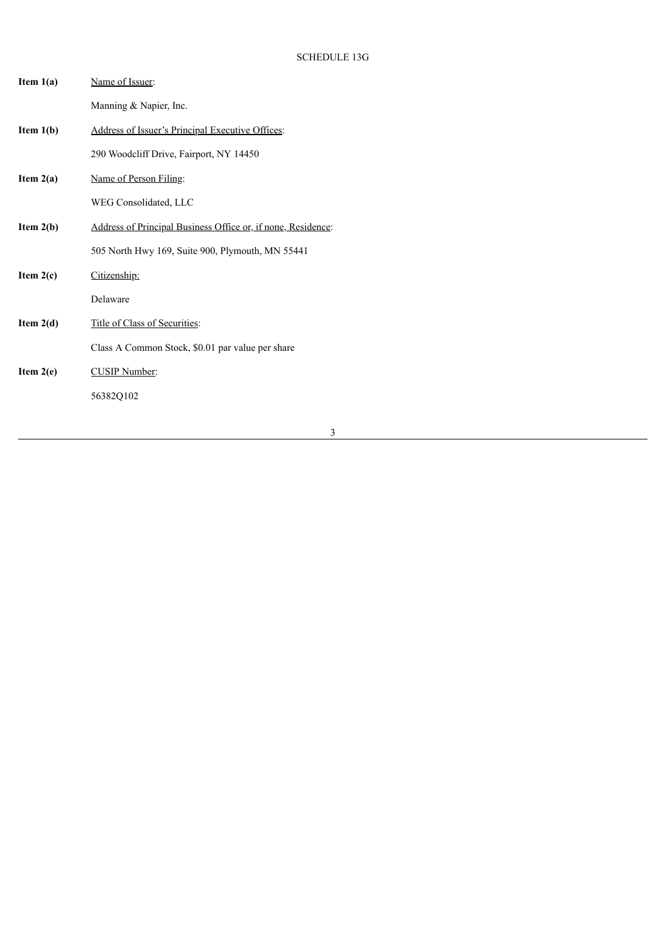| Item $1(a)$ | Name of Issuer:                                              |
|-------------|--------------------------------------------------------------|
|             | Manning & Napier, Inc.                                       |
| Item $1(b)$ | Address of Issuer's Principal Executive Offices:             |
|             | 290 Woodcliff Drive, Fairport, NY 14450                      |
| Item $2(a)$ | Name of Person Filing:                                       |
|             | WEG Consolidated, LLC                                        |
| Item $2(b)$ | Address of Principal Business Office or, if none, Residence: |
|             | 505 North Hwy 169, Suite 900, Plymouth, MN 55441             |
| Item $2(c)$ | Citizenship:                                                 |
|             | Delaware                                                     |
| Item $2(d)$ | Title of Class of Securities:                                |
|             | Class A Common Stock, \$0.01 par value per share             |
| Item $2(e)$ | <b>CUSIP</b> Number:                                         |
|             | 56382Q102                                                    |
|             |                                                              |

3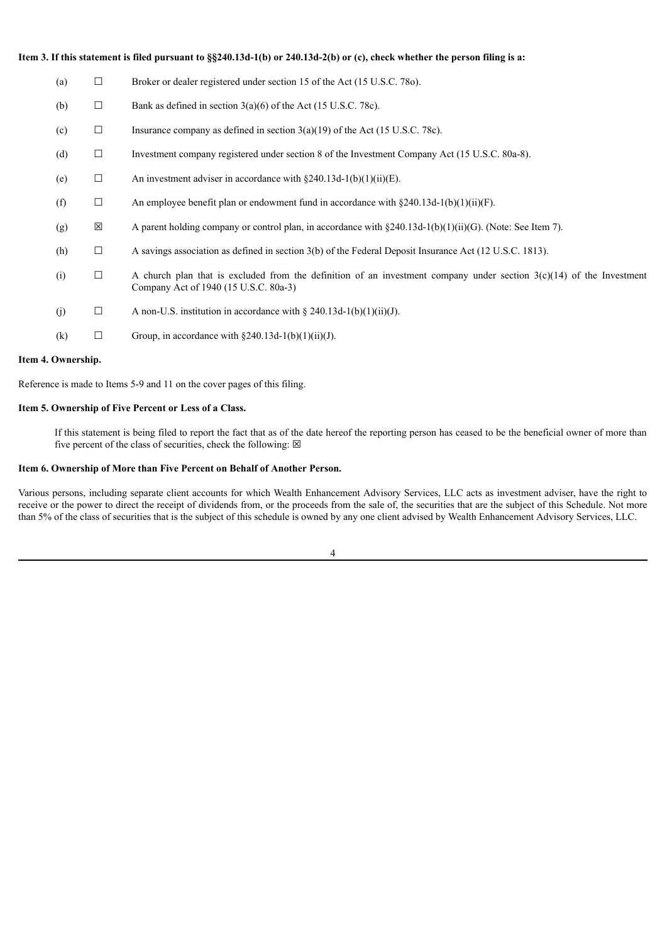| Item 3. If this statement is filed pursuant to $\S$ \$240.13d-1(b) or 240.13d-2(b) or (c), check whether the person filing is a: |     |        |                                                                                                                                                                 |  |
|----------------------------------------------------------------------------------------------------------------------------------|-----|--------|-----------------------------------------------------------------------------------------------------------------------------------------------------------------|--|
| (a)                                                                                                                              |     | $\Box$ | Broker or dealer registered under section 15 of the Act (15 U.S.C. 780).                                                                                        |  |
|                                                                                                                                  | (b) | $\Box$ | Bank as defined in section $3(a)(6)$ of the Act (15 U.S.C. 78c).                                                                                                |  |
| (c)                                                                                                                              |     | $\Box$ | Insurance company as defined in section $3(a)(19)$ of the Act (15 U.S.C. 78c).                                                                                  |  |
|                                                                                                                                  | (d) | $\Box$ | Investment company registered under section 8 of the Investment Company Act (15 U.S.C. 80a-8).                                                                  |  |
| (e)                                                                                                                              |     | $\Box$ | An investment adviser in accordance with $\S 240.13d-1(b)(1)(ii)(E)$ .                                                                                          |  |
| (f)                                                                                                                              |     | $\Box$ | An employee benefit plan or endowment fund in accordance with $\S 240.13d-1(b)(1)(ii)(F)$ .                                                                     |  |
|                                                                                                                                  | (g) | ⊠      | A parent holding company or control plan, in accordance with $\S 240.13d-1(b)(1)(ii)(G)$ . (Note: See Item 7).                                                  |  |
|                                                                                                                                  | (h) | $\Box$ | A savings association as defined in section 3(b) of the Federal Deposit Insurance Act (12 U.S.C. 1813).                                                         |  |
| (i)                                                                                                                              |     | $\Box$ | A church plan that is excluded from the definition of an investment company under section $3(c)(14)$ of the Investment<br>Company Act of 1940 (15 U.S.C. 80a-3) |  |
| (j)                                                                                                                              |     | $\Box$ | A non-U.S. institution in accordance with $\S 240.13d-1(b)(1)(ii)(J)$ .                                                                                         |  |
| (k)                                                                                                                              |     | $\Box$ | Group, in accordance with $\S 240.13d-1(b)(1)(ii)(J)$ .                                                                                                         |  |

#### **Item 4. Ownership.**

Reference is made to Items 5-9 and 11 on the cover pages of this filing.

#### **Item 5. Ownership of Five Percent or Less of a Class.**

If this statement is being filed to report the fact that as of the date hereof the reporting person has ceased to be the beneficial owner of more than five percent of the class of securities, check the following:  $\boxtimes$ 

#### **Item 6. Ownership of More than Five Percent on Behalf of Another Person.**

Various persons, including separate client accounts for which Wealth Enhancement Advisory Services, LLC acts as investment adviser, have the right to receive or the power to direct the receipt of dividends from, or the proceeds from the sale of, the securities that are the subject of this Schedule. Not more than 5% of the class of securities that is the subject of this schedule is owned by any one client advised by Wealth Enhancement Advisory Services, LLC.

4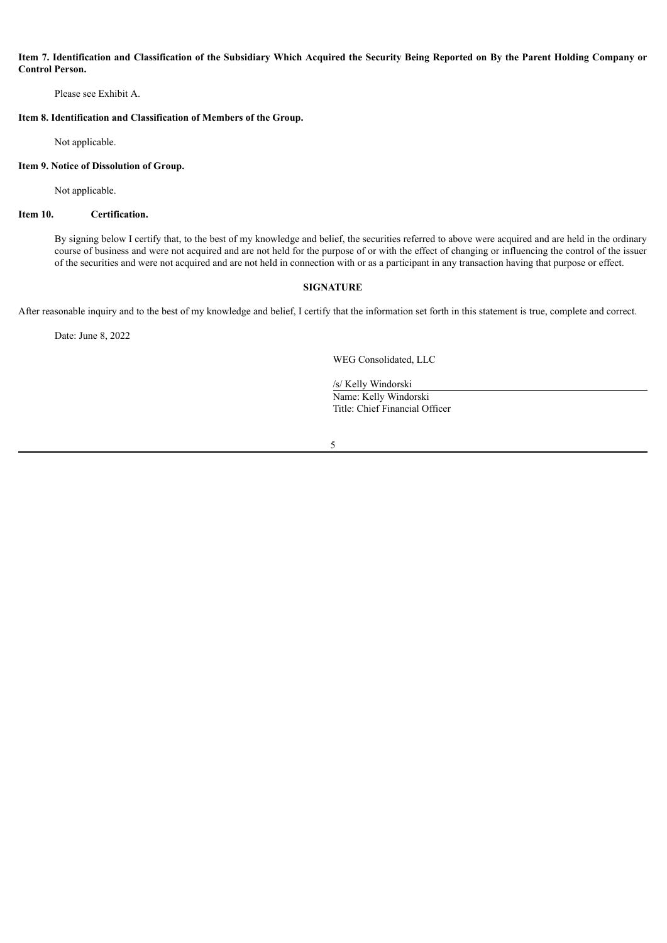### Item 7. Identification and Classification of the Subsidiary Which Acquired the Security Being Reported on By the Parent Holding Company or **Control Person.**

Please see Exhibit A.

**Item 8. Identification and Classification of Members of the Group.**

Not applicable.

#### **Item 9. Notice of Dissolution of Group.**

Not applicable.

### **Item 10. Certification.**

By signing below I certify that, to the best of my knowledge and belief, the securities referred to above were acquired and are held in the ordinary course of business and were not acquired and are not held for the purpose of or with the effect of changing or influencing the control of the issuer of the securities and were not acquired and are not held in connection with or as a participant in any transaction having that purpose or effect.

### **SIGNATURE**

After reasonable inquiry and to the best of my knowledge and belief, I certify that the information set forth in this statement is true, complete and correct.

Date: June 8, 2022

WEG Consolidated, LLC

/s/ Kelly Windorski Name: Kelly Windorski Title: Chief Financial Officer

5